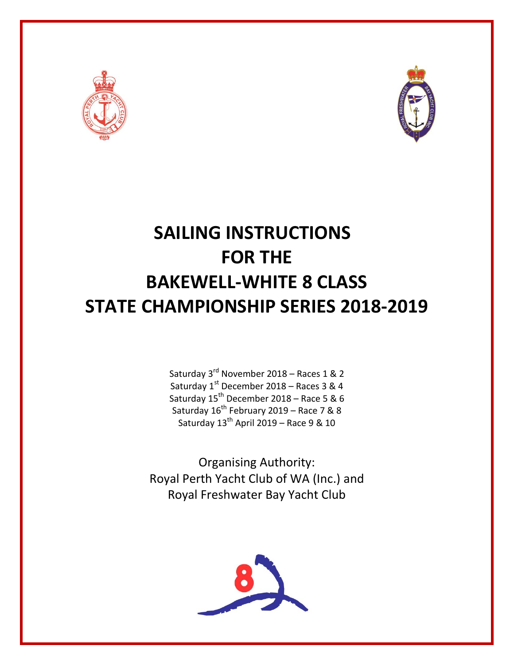



# **SAILING INSTRUCTIONS FOR THE BAKEWELL-WHITE 8 CLASS STATE CHAMPIONSHIP SERIES 2018-2019**

Saturday 3<sup>rd</sup> November 2018 – Races 1 & 2 Saturday 1<sup>st</sup> December 2018 – Races 3 & 4 Saturday  $15^{th}$  December 2018 – Race 5 & 6 Saturday  $16^{th}$  February 2019 – Race 7 & 8 Saturday 13<sup>th</sup> April 2019 – Race 9 & 10

Organising Authority: Royal Perth Yacht Club of WA (Inc.) and Royal Freshwater Bay Yacht Club

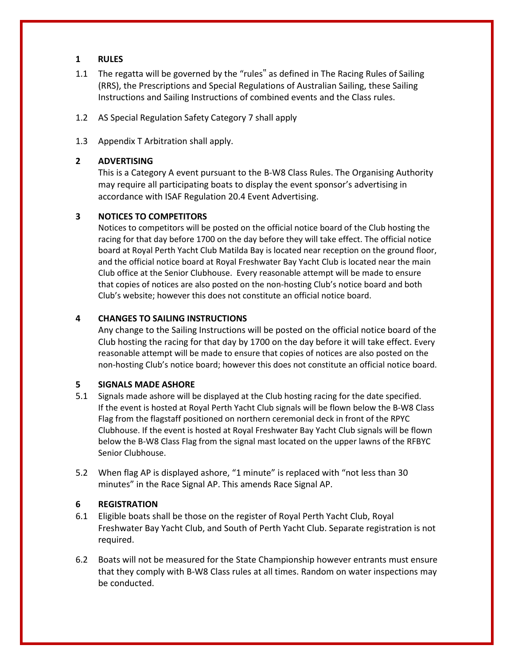## **1 RULES**

- 1.1 The regatta will be governed by the "rules" as defined in The Racing Rules of Sailing (RRS), the Prescriptions and Special Regulations of Australian Sailing, these Sailing Instructions and Sailing Instructions of combined events and the Class rules.
- 1.2 AS Special Regulation Safety Category 7 shall apply
- 1.3 Appendix T Arbitration shall apply.

## **2 ADVERTISING**

This is a Category A event pursuant to the B-W8 Class Rules. The Organising Authority may require all participating boats to display the event sponsor's advertising in accordance with ISAF Regulation 20.4 Event Advertising.

## **3 NOTICES TO COMPETITORS**

Notices to competitors will be posted on the official notice board of the Club hosting the racing for that day before 1700 on the day before they will take effect. The official notice board at Royal Perth Yacht Club Matilda Bay is located near reception on the ground floor, and the official notice board at Royal Freshwater Bay Yacht Club is located near the main Club office at the Senior Clubhouse. Every reasonable attempt will be made to ensure that copies of notices are also posted on the non-hosting Club's notice board and both Club's website; however this does not constitute an official notice board.

## **4 CHANGES TO SAILING INSTRUCTIONS**

Any change to the Sailing Instructions will be posted on the official notice board of the Club hosting the racing for that day by 1700 on the day before it will take effect. Every reasonable attempt will be made to ensure that copies of notices are also posted on the non-hosting Club's notice board; however this does not constitute an official notice board.

## **5 SIGNALS MADE ASHORE**

- 5.1 Signals made ashore will be displayed at the Club hosting racing for the date specified. If the event is hosted at Royal Perth Yacht Club signals will be flown below the B-W8 Class Flag from the flagstaff positioned on northern ceremonial deck in front of the RPYC Clubhouse. If the event is hosted at Royal Freshwater Bay Yacht Club signals will be flown below the B-W8 Class Flag from the signal mast located on the upper lawns of the RFBYC Senior Clubhouse.
- 5.2 When flag AP is displayed ashore, "1 minute" is replaced with "not less than 30 minutes" in the Race Signal AP. This amends Race Signal AP.

## **6 REGISTRATION**

- 6.1 Eligible boats shall be those on the register of Royal Perth Yacht Club, Royal Freshwater Bay Yacht Club, and South of Perth Yacht Club. Separate registration is not required.
- 6.2 Boats will not be measured for the State Championship however entrants must ensure that they comply with B-W8 Class rules at all times. Random on water inspections may be conducted.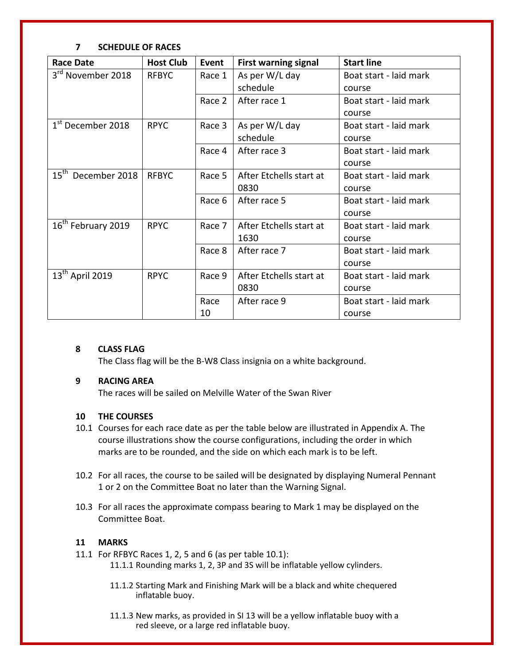## **7 SCHEDULE OF RACES**

| <b>Race Date</b>               | <b>Host Club</b> | Event  | <b>First warning signal</b> | <b>Start line</b>      |
|--------------------------------|------------------|--------|-----------------------------|------------------------|
| 3 <sup>rd</sup> November 2018  | <b>RFBYC</b>     | Race 1 | As per W/L day              | Boat start - laid mark |
|                                |                  |        | schedule                    | course                 |
|                                |                  | Race 2 | After race 1                | Boat start - laid mark |
|                                |                  |        |                             | course                 |
| $1st$ December 2018            | <b>RPYC</b>      | Race 3 | As per W/L day              | Boat start - laid mark |
|                                |                  |        | schedule                    | course                 |
|                                |                  | Race 4 | After race 3                | Boat start - laid mark |
|                                |                  |        |                             | course                 |
| 15 <sup>th</sup> December 2018 | <b>RFBYC</b>     | Race 5 | After Etchells start at     | Boat start - laid mark |
|                                |                  |        | 0830                        | course                 |
|                                |                  | Race 6 | After race 5                | Boat start - laid mark |
|                                |                  |        |                             | course                 |
| 16 <sup>th</sup> February 2019 | <b>RPYC</b>      | Race 7 | After Etchells start at     | Boat start - laid mark |
|                                |                  |        | 1630                        | course                 |
|                                |                  | Race 8 | After race 7                | Boat start - laid mark |
|                                |                  |        |                             | course                 |
| 13 <sup>th</sup> April 2019    | <b>RPYC</b>      | Race 9 | After Etchells start at     | Boat start - laid mark |
|                                |                  |        | 0830                        | course                 |
|                                |                  | Race   | After race 9                | Boat start - laid mark |
|                                |                  | 10     |                             | course                 |

## **8 CLASS FLAG**

The Class flag will be the B-W8 Class insignia on a white background.

## **9 RACING AREA**

The races will be sailed on Melville Water of the Swan River

## **10 THE COURSES**

- 10.1 Courses for each race date as per the table below are illustrated in Appendix A. The course illustrations show the course configurations, including the order in which marks are to be rounded, and the side on which each mark is to be left.
- 10.2 For all races, the course to be sailed will be designated by displaying Numeral Pennant 1 or 2 on the Committee Boat no later than the Warning Signal.
- 10.3 For all races the approximate compass bearing to Mark 1 may be displayed on the Committee Boat.

## **11 MARKS**

- 11.1 For RFBYC Races 1, 2, 5 and 6 (as per table 10.1):
	- 11.1.1 Rounding marks 1, 2, 3P and 3S will be inflatable yellow cylinders.
	- 11.1.2 Starting Mark and Finishing Mark will be a black and white chequered inflatable buoy.
	- 11.1.3 New marks, as provided in SI 13 will be a yellow inflatable buoy with a red sleeve, or a large red inflatable buoy.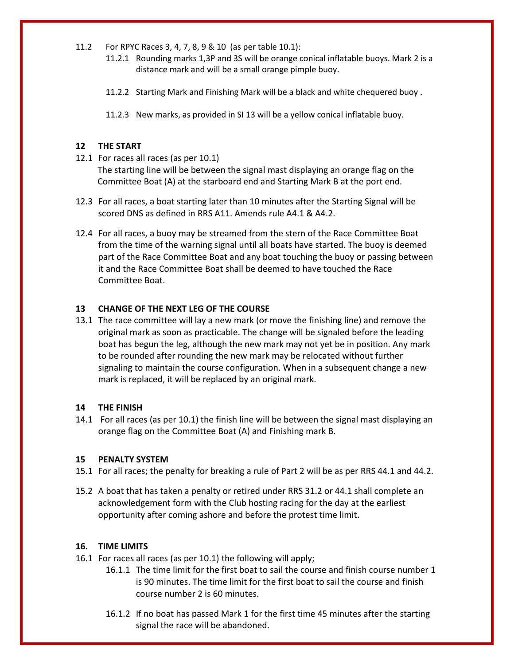- 11.2 For RPYC Races 3, 4, 7, 8, 9 & 10 (as per table 10.1):
	- 11.2.1 Rounding marks 1,3P and 3S will be orange conical inflatable buoys. Mark 2 is a distance mark and will be a small orange pimple buoy.
	- 11.2.2 Starting Mark and Finishing Mark will be a black and white chequered buoy .
	- 11.2.3 New marks, as provided in SI 13 will be a yellow conical inflatable buoy.

## **12 THE START**

- 12.1 For races all races (as per 10.1) The starting line will be between the signal mast displaying an orange flag on the Committee Boat (A) at the starboard end and Starting Mark B at the port end.
- 12.3 For all races, a boat starting later than 10 minutes after the Starting Signal will be scored DNS as defined in RRS A11. Amends rule A4.1 & A4.2.
- 12.4 For all races, a buoy may be streamed from the stern of the Race Committee Boat from the time of the warning signal until all boats have started. The buoy is deemed part of the Race Committee Boat and any boat touching the buoy or passing between it and the Race Committee Boat shall be deemed to have touched the Race Committee Boat.

## **13 CHANGE OF THE NEXT LEG OF THE COURSE**

13.1 The race committee will lay a new mark (or move the finishing line) and remove the original mark as soon as practicable. The change will be signaled before the leading boat has begun the leg, although the new mark may not yet be in position. Any mark to be rounded after rounding the new mark may be relocated without further signaling to maintain the course configuration. When in a subsequent change a new mark is replaced, it will be replaced by an original mark.

#### **14 THE FINISH**

14.1 For all races (as per 10.1) the finish line will be between the signal mast displaying an orange flag on the Committee Boat (A) and Finishing mark B.

#### **15 PENALTY SYSTEM**

- 15.1 For all races; the penalty for breaking a rule of Part 2 will be as per RRS 44.1 and 44.2.
- 15.2 A boat that has taken a penalty or retired under RRS 31.2 or 44.1 shall complete an acknowledgement form with the Club hosting racing for the day at the earliest opportunity after coming ashore and before the protest time limit.

#### **16. TIME LIMITS**

- 16.1 For races all races (as per 10.1) the following will apply;
	- 16.1.1 The time limit for the first boat to sail the course and finish course number 1 is 90 minutes. The time limit for the first boat to sail the course and finish course number 2 is 60 minutes.
	- 16.1.2 If no boat has passed Mark 1 for the first time 45 minutes after the starting signal the race will be abandoned.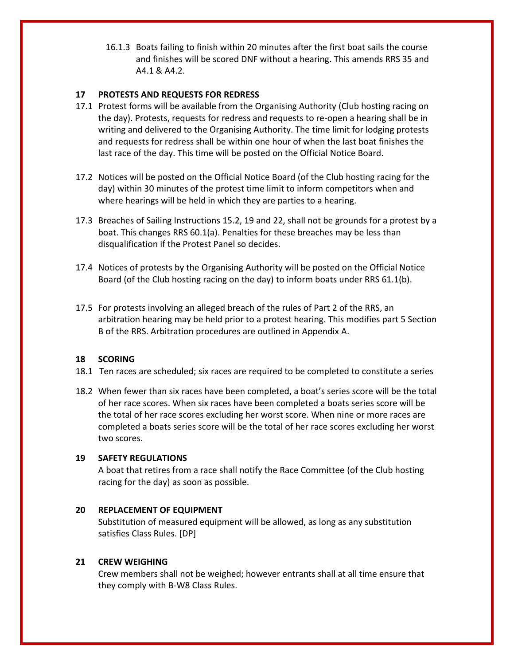16.1.3 Boats failing to finish within 20 minutes after the first boat sails the course and finishes will be scored DNF without a hearing. This amends RRS 35 and A4.1 & A4.2.

## **17 PROTESTS AND REQUESTS FOR REDRESS**

- 17.1 Protest forms will be available from the Organising Authority (Club hosting racing on the day). Protests, requests for redress and requests to re-open a hearing shall be in writing and delivered to the Organising Authority. The time limit for lodging protests and requests for redress shall be within one hour of when the last boat finishes the last race of the day. This time will be posted on the Official Notice Board.
- 17.2 Notices will be posted on the Official Notice Board (of the Club hosting racing for the day) within 30 minutes of the protest time limit to inform competitors when and where hearings will be held in which they are parties to a hearing.
- 17.3 Breaches of Sailing Instructions 15.2, 19 and 22, shall not be grounds for a protest by a boat. This changes RRS 60.1(a). Penalties for these breaches may be less than disqualification if the Protest Panel so decides.
- 17.4 Notices of protests by the Organising Authority will be posted on the Official Notice Board (of the Club hosting racing on the day) to inform boats under RRS 61.1(b).
- 17.5 For protests involving an alleged breach of the rules of Part 2 of the RRS, an arbitration hearing may be held prior to a protest hearing. This modifies part 5 Section B of the RRS. Arbitration procedures are outlined in Appendix A.

## **18 SCORING**

- 18.1 Ten races are scheduled; six races are required to be completed to constitute a series
- 18.2 When fewer than six races have been completed, a boat's series score will be the total of her race scores. When six races have been completed a boats series score will be the total of her race scores excluding her worst score. When nine or more races are completed a boats series score will be the total of her race scores excluding her worst two scores.

## **19 SAFETY REGULATIONS**

A boat that retires from a race shall notify the Race Committee (of the Club hosting racing for the day) as soon as possible.

## **20 REPLACEMENT OF EQUIPMENT**

Substitution of measured equipment will be allowed, as long as any substitution satisfies Class Rules. [DP]

## **21 CREW WEIGHING**

Crew members shall not be weighed; however entrants shall at all time ensure that they comply with B-W8 Class Rules.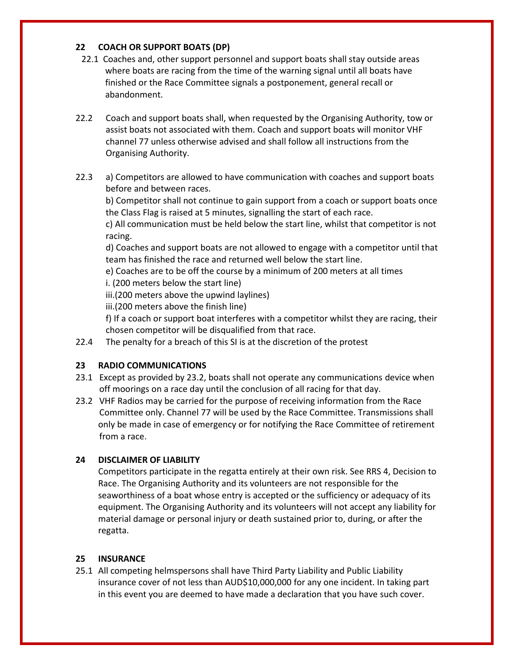## **22 COACH OR SUPPORT BOATS (DP)**

- 22.1 Coaches and, other support personnel and support boats shall stay outside areas where boats are racing from the time of the warning signal until all boats have finished or the Race Committee signals a postponement, general recall or abandonment.
- 22.2 Coach and support boats shall, when requested by the Organising Authority, tow or assist boats not associated with them. Coach and support boats will monitor VHF channel 77 unless otherwise advised and shall follow all instructions from the Organising Authority.
- 22.3 a) Competitors are allowed to have communication with coaches and support boats before and between races.

b) Competitor shall not continue to gain support from a coach or support boats once the Class Flag is raised at 5 minutes, signalling the start of each race.

c) All communication must be held below the start line, whilst that competitor is not racing.

d) Coaches and support boats are not allowed to engage with a competitor until that team has finished the race and returned well below the start line.

e) Coaches are to be off the course by a minimum of 200 meters at all times

i. (200 meters below the start line)

iii.(200 meters above the upwind laylines)

iii.(200 meters above the finish line)

f) If a coach or support boat interferes with a competitor whilst they are racing, their chosen competitor will be disqualified from that race.

22.4 The penalty for a breach of this SI is at the discretion of the protest

## **23 RADIO COMMUNICATIONS**

- 23.1 Except as provided by 23.2, boats shall not operate any communications device when off moorings on a race day until the conclusion of all racing for that day.
- 23.2 VHF Radios may be carried for the purpose of receiving information from the Race Committee only. Channel 77 will be used by the Race Committee. Transmissions shall only be made in case of emergency or for notifying the Race Committee of retirement from a race.

## **24 DISCLAIMER OF LIABILITY**

Competitors participate in the regatta entirely at their own risk. See RRS 4, Decision to Race. The Organising Authority and its volunteers are not responsible for the seaworthiness of a boat whose entry is accepted or the sufficiency or adequacy of its equipment. The Organising Authority and its volunteers will not accept any liability for material damage or personal injury or death sustained prior to, during, or after the regatta.

## **25 INSURANCE**

25.1 All competing helmspersons shall have Third Party Liability and Public Liability insurance cover of not less than AUD\$10,000,000 for any one incident. In taking part in this event you are deemed to have made a declaration that you have such cover.